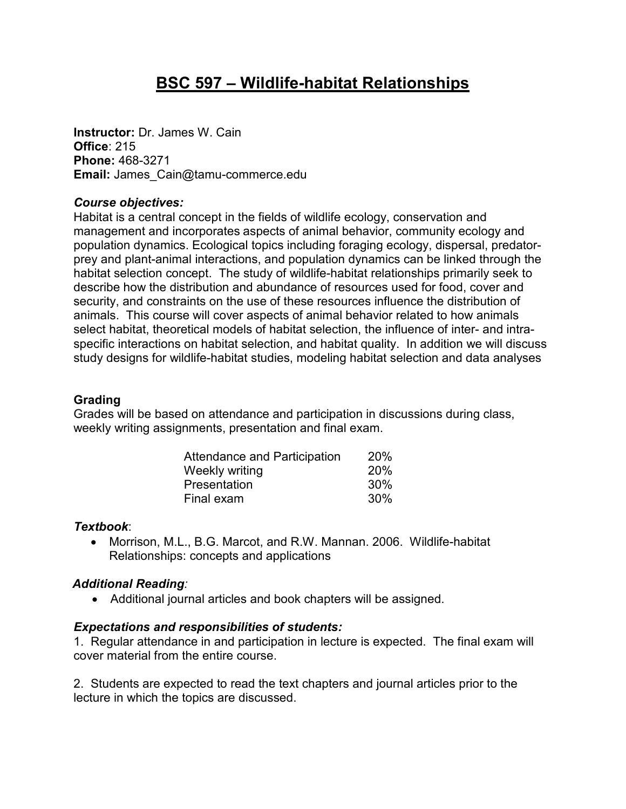# **BSC 597 – Wildlife-habitat Relationships**

**Instructor:** Dr. James W. Cain **Office**: 215 **Phone:** 468-3271 **Email:** James\_Cain@tamu-commerce.edu

#### *Course objectives:*

Habitat is a central concept in the fields of wildlife ecology, conservation and management and incorporates aspects of animal behavior, community ecology and population dynamics. Ecological topics including foraging ecology, dispersal, predatorprey and plant-animal interactions, and population dynamics can be linked through the habitat selection concept. The study of wildlife-habitat relationships primarily seek to describe how the distribution and abundance of resources used for food, cover and security, and constraints on the use of these resources influence the distribution of animals. This course will cover aspects of animal behavior related to how animals select habitat, theoretical models of habitat selection, the influence of inter- and intraspecific interactions on habitat selection, and habitat quality. In addition we will discuss study designs for wildlife-habitat studies, modeling habitat selection and data analyses

#### **Grading**

Grades will be based on attendance and participation in discussions during class, weekly writing assignments, presentation and final exam.

| Attendance and Participation | <b>20%</b> |
|------------------------------|------------|
| Weekly writing               | 20%        |
| Presentation                 | <b>30%</b> |
| Final exam                   | 30%        |

# *Textbook*:

• Morrison, M.L., B.G. Marcot, and R.W. Mannan. 2006. Wildlife-habitat Relationships: concepts and applications

# *Additional Reading:*

• Additional journal articles and book chapters will be assigned.

# *Expectations and responsibilities of students:*

1. Regular attendance in and participation in lecture is expected. The final exam will cover material from the entire course.

2. Students are expected to read the text chapters and journal articles prior to the lecture in which the topics are discussed.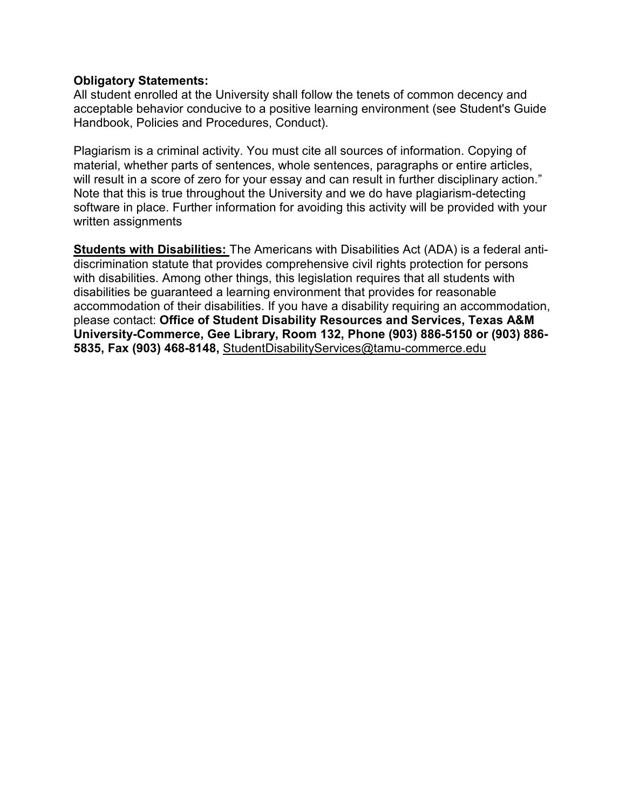#### **Obligatory Statements:**

All student enrolled at the University shall follow the tenets of common decency and acceptable behavior conducive to a positive learning environment (see Student's Guide Handbook, Policies and Procedures, Conduct).

Plagiarism is a criminal activity. You must cite all sources of information. Copying of material, whether parts of sentences, whole sentences, paragraphs or entire articles, will result in a score of zero for your essay and can result in further disciplinary action." Note that this is true throughout the University and we do have plagiarism-detecting software in place. Further information for avoiding this activity will be provided with your written assignments

**Students with Disabilities:** The Americans with Disabilities Act (ADA) is a federal antidiscrimination statute that provides comprehensive civil rights protection for persons with disabilities. Among other things, this legislation requires that all students with disabilities be guaranteed a learning environment that provides for reasonable accommodation of their disabilities. If you have a disability requiring an accommodation, please contact: **Office of Student Disability Resources and Services, Texas A&M University-Commerce, Gee Library, Room 132, Phone (903) 886-5150 or (903) 886- 5835, Fax (903) 468-8148,** StudentDisabilityServices@tamu-commerce.edu